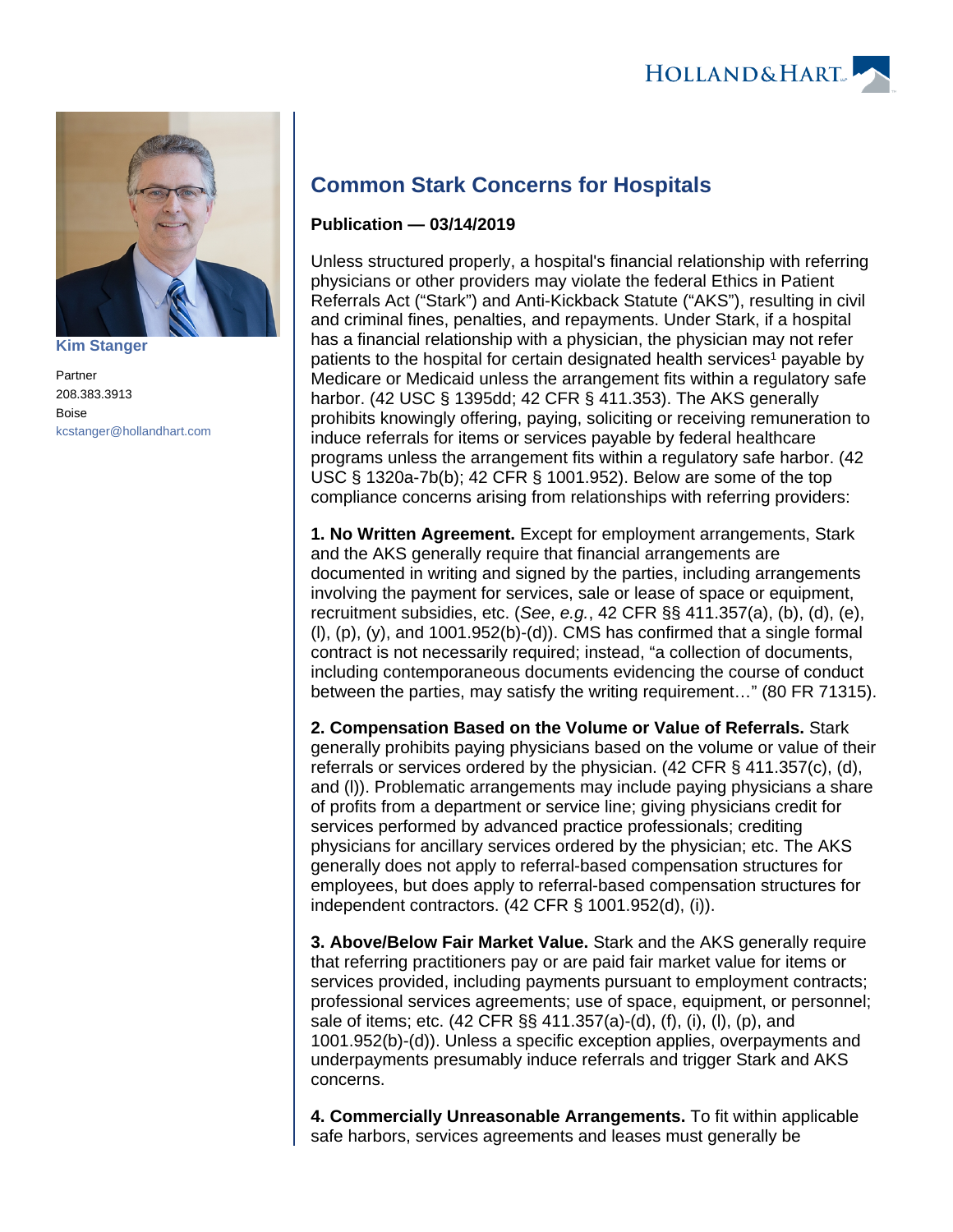

**[Kim Stanger](https://www.hollandhart.com/15954)**

Partner 208.383.3913 Boise [kcstanger@hollandhart.com](mailto:kcstanger@hollandhart.com)

## **Common Stark Concerns for Hospitals**

## **Publication — 03/14/2019**

Unless structured properly, a hospital's financial relationship with referring physicians or other providers may violate the federal Ethics in Patient Referrals Act ("Stark") and Anti-Kickback Statute ("AKS"), resulting in civil and criminal fines, penalties, and repayments. Under Stark, if a hospital has a financial relationship with a physician, the physician may not refer patients to the hospital for certain designated health services<sup>1</sup> payable by Medicare or Medicaid unless the arrangement fits within a regulatory safe harbor. (42 USC § 1395dd; 42 CFR § 411.353). The AKS generally prohibits knowingly offering, paying, soliciting or receiving remuneration to induce referrals for items or services payable by federal healthcare programs unless the arrangement fits within a regulatory safe harbor. (42 USC § 1320a-7b(b); 42 CFR § 1001.952). Below are some of the top compliance concerns arising from relationships with referring providers:

**1. No Written Agreement.** Except for employment arrangements, Stark and the AKS generally require that financial arrangements are documented in writing and signed by the parties, including arrangements involving the payment for services, sale or lease of space or equipment, recruitment subsidies, etc. (See, e.g., 42 CFR §§ 411.357(a), (b), (d), (e),  $(l)$ ,  $(p)$ ,  $(y)$ , and 1001.952 $(b)$ - $(d)$ ). CMS has confirmed that a single formal contract is not necessarily required; instead, "a collection of documents, including contemporaneous documents evidencing the course of conduct between the parties, may satisfy the writing requirement…" (80 FR 71315).

**2. Compensation Based on the Volume or Value of Referrals.** Stark generally prohibits paying physicians based on the volume or value of their referrals or services ordered by the physician.  $(42 \text{ CFR} \text{ } \text{\&} 411.357(c), (d),$ and (l)). Problematic arrangements may include paying physicians a share of profits from a department or service line; giving physicians credit for services performed by advanced practice professionals; crediting physicians for ancillary services ordered by the physician; etc. The AKS generally does not apply to referral-based compensation structures for employees, but does apply to referral-based compensation structures for independent contractors. (42 CFR § 1001.952(d), (i)).

**3. Above/Below Fair Market Value.** Stark and the AKS generally require that referring practitioners pay or are paid fair market value for items or services provided, including payments pursuant to employment contracts; professional services agreements; use of space, equipment, or personnel; sale of items; etc. (42 CFR §§ 411.357(a)-(d), (f), (i), (l), (p), and 1001.952(b)-(d)). Unless a specific exception applies, overpayments and underpayments presumably induce referrals and trigger Stark and AKS concerns.

**4. Commercially Unreasonable Arrangements.** To fit within applicable safe harbors, services agreements and leases must generally be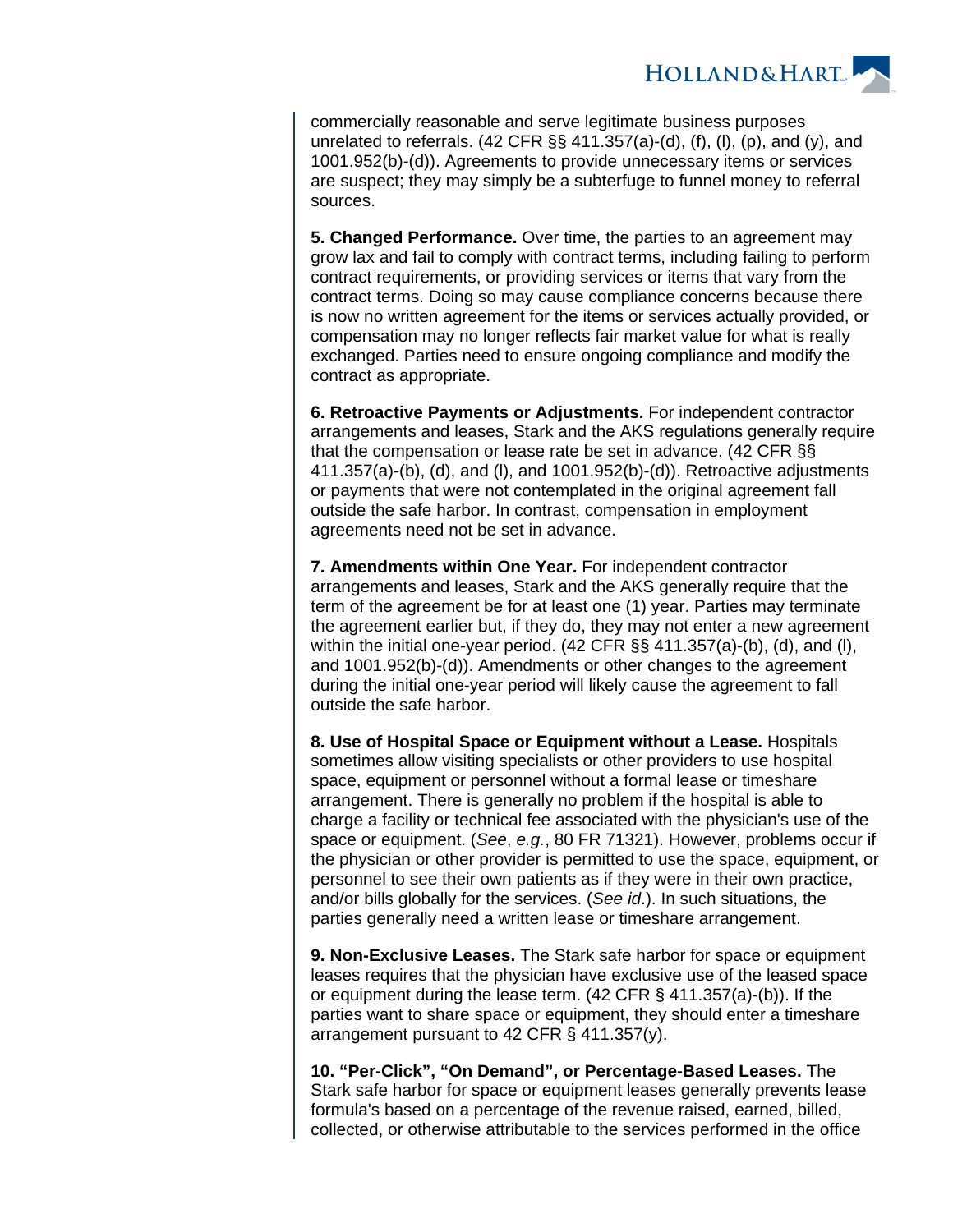**HOLLAND&HART** 

commercially reasonable and serve legitimate business purposes unrelated to referrals.  $(42 \text{ CFR} \text{ \textless } 411.357(a)-(d), (f), (l), (p),$  and  $(y),$  and 1001.952(b)-(d)). Agreements to provide unnecessary items or services are suspect; they may simply be a subterfuge to funnel money to referral sources.

**5. Changed Performance.** Over time, the parties to an agreement may grow lax and fail to comply with contract terms, including failing to perform contract requirements, or providing services or items that vary from the contract terms. Doing so may cause compliance concerns because there is now no written agreement for the items or services actually provided, or compensation may no longer reflects fair market value for what is really exchanged. Parties need to ensure ongoing compliance and modify the contract as appropriate.

**6. Retroactive Payments or Adjustments.** For independent contractor arrangements and leases, Stark and the AKS regulations generally require that the compensation or lease rate be set in advance. (42 CFR §§ 411.357(a)-(b), (d), and (l), and 1001.952(b)-(d)). Retroactive adjustments or payments that were not contemplated in the original agreement fall outside the safe harbor. In contrast, compensation in employment agreements need not be set in advance.

**7. Amendments within One Year.** For independent contractor arrangements and leases, Stark and the AKS generally require that the term of the agreement be for at least one (1) year. Parties may terminate the agreement earlier but, if they do, they may not enter a new agreement within the initial one-year period. (42 CFR §§ 411.357(a)-(b), (d), and (l), and 1001.952(b)-(d)). Amendments or other changes to the agreement during the initial one-year period will likely cause the agreement to fall outside the safe harbor.

**8. Use of Hospital Space or Equipment without a Lease.** Hospitals sometimes allow visiting specialists or other providers to use hospital space, equipment or personnel without a formal lease or timeshare arrangement. There is generally no problem if the hospital is able to charge a facility or technical fee associated with the physician's use of the space or equipment. (See, e.g., 80 FR 71321). However, problems occur if the physician or other provider is permitted to use the space, equipment, or personnel to see their own patients as if they were in their own practice, and/or bills globally for the services. (See id.). In such situations, the parties generally need a written lease or timeshare arrangement.

**9. Non-Exclusive Leases.** The Stark safe harbor for space or equipment leases requires that the physician have exclusive use of the leased space or equipment during the lease term. (42 CFR § 411.357(a)-(b)). If the parties want to share space or equipment, they should enter a timeshare arrangement pursuant to 42 CFR § 411.357(y).

**10. "Per-Click", "On Demand", or Percentage-Based Leases.** The Stark safe harbor for space or equipment leases generally prevents lease formula's based on a percentage of the revenue raised, earned, billed, collected, or otherwise attributable to the services performed in the office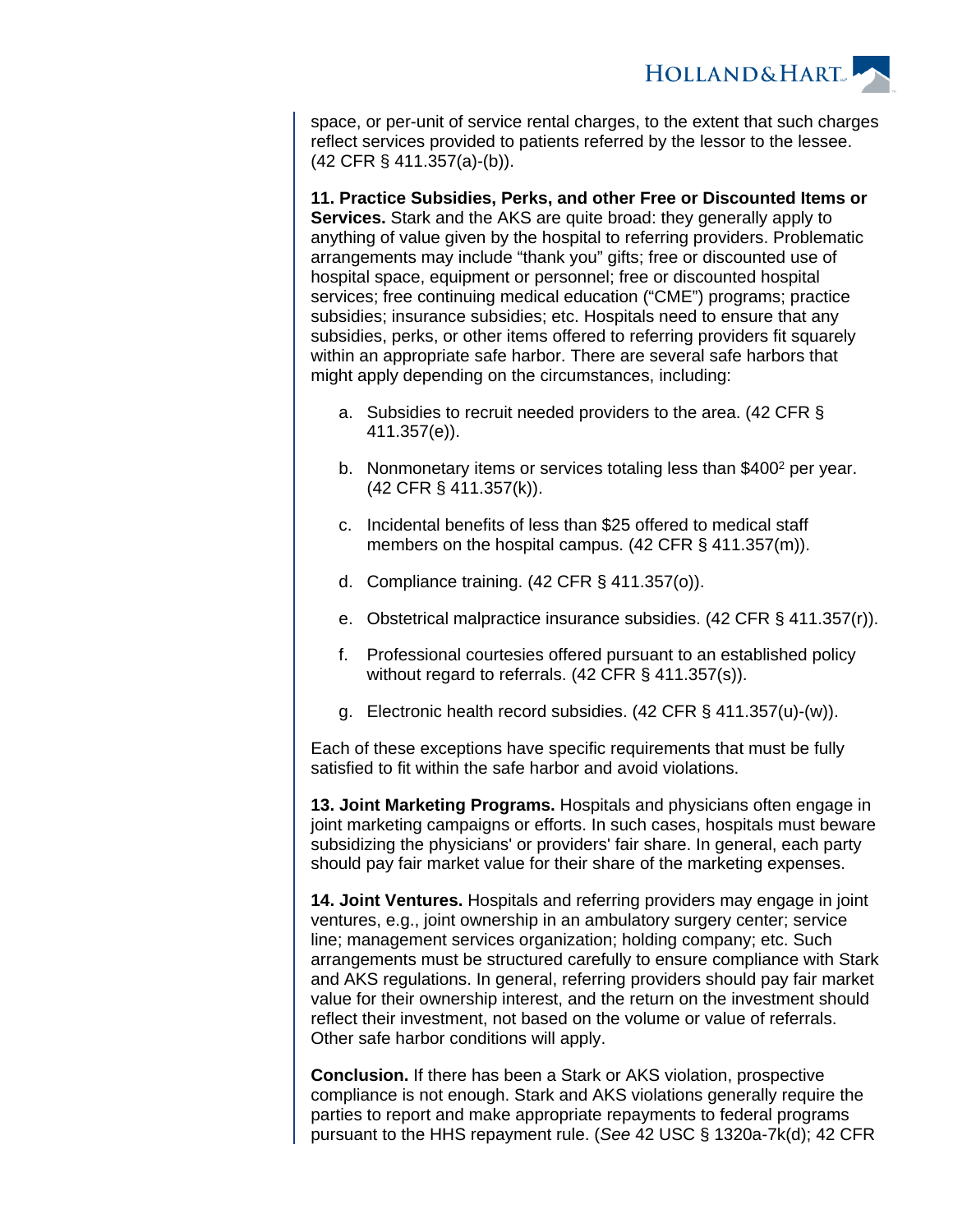**HOLLAND&HART** 

space, or per-unit of service rental charges, to the extent that such charges reflect services provided to patients referred by the lessor to the lessee. (42 CFR § 411.357(a)-(b)).

**11. Practice Subsidies, Perks, and other Free or Discounted Items or Services.** Stark and the AKS are quite broad: they generally apply to anything of value given by the hospital to referring providers. Problematic arrangements may include "thank you" gifts; free or discounted use of hospital space, equipment or personnel; free or discounted hospital services; free continuing medical education ("CME") programs; practice subsidies; insurance subsidies; etc. Hospitals need to ensure that any subsidies, perks, or other items offered to referring providers fit squarely within an appropriate safe harbor. There are several safe harbors that might apply depending on the circumstances, including:

- a. Subsidies to recruit needed providers to the area. (42 CFR § 411.357(e)).
- b. Nonmonetary items or services totaling less than \$400<sup>2</sup> per year. (42 CFR § 411.357(k)).
- c. Incidental benefits of less than \$25 offered to medical staff members on the hospital campus. (42 CFR § 411.357(m)).
- d. Compliance training. (42 CFR § 411.357(o)).
- e. Obstetrical malpractice insurance subsidies. (42 CFR § 411.357(r)).
- f. Professional courtesies offered pursuant to an established policy without regard to referrals. (42 CFR § 411.357(s)).
- g. Electronic health record subsidies. (42 CFR § 411.357(u)-(w)).

Each of these exceptions have specific requirements that must be fully satisfied to fit within the safe harbor and avoid violations.

**13. Joint Marketing Programs.** Hospitals and physicians often engage in joint marketing campaigns or efforts. In such cases, hospitals must beware subsidizing the physicians' or providers' fair share. In general, each party should pay fair market value for their share of the marketing expenses.

**14. Joint Ventures.** Hospitals and referring providers may engage in joint ventures, e.g., joint ownership in an ambulatory surgery center; service line; management services organization; holding company; etc. Such arrangements must be structured carefully to ensure compliance with Stark and AKS regulations. In general, referring providers should pay fair market value for their ownership interest, and the return on the investment should reflect their investment, not based on the volume or value of referrals. Other safe harbor conditions will apply.

**Conclusion.** If there has been a Stark or AKS violation, prospective compliance is not enough. Stark and AKS violations generally require the parties to report and make appropriate repayments to federal programs pursuant to the HHS repayment rule. (See 42 USC § 1320a-7k(d); 42 CFR